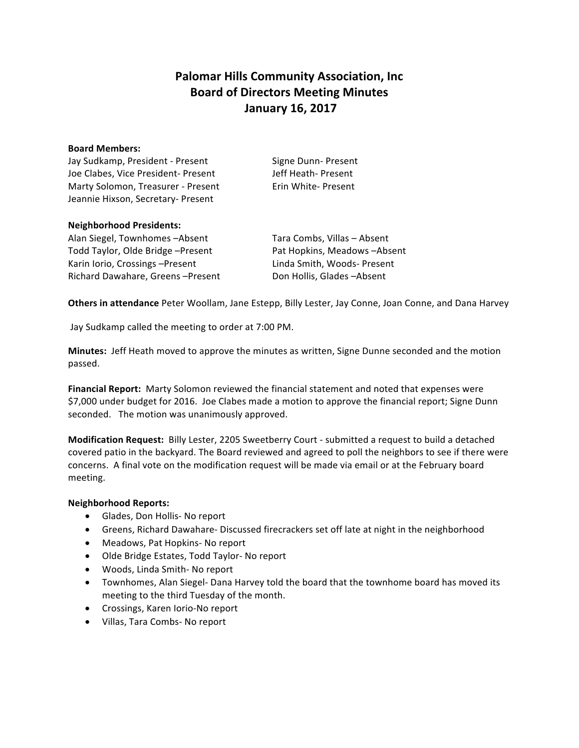# **Palomar Hills Community Association, Inc. Board of Directors Meeting Minutes January 16, 2017**

#### **Board Members:**

Jay Sudkamp, President - Present Signe Dunn- Present Joe Clabes, Vice President- Present Jeff Heath- Present Marty Solomon, Treasurer - Present Erin White- Present Jeannie Hixson, Secretary- Present

## **Neighborhood Presidents:**

Alan Siegel, Townhomes -Absent Tara Combs, Villas - Absent Todd Taylor, Olde Bridge –Present **The Pat Hopkins, Meadows** –Absent Karin Iorio, Crossings –Present Linda Smith, Woods-Present Richard Dawahare, Greens -Present Don Hollis, Glades -Absent

**Others in attendance** Peter Woollam, Jane Estepp, Billy Lester, Jay Conne, Joan Conne, and Dana Harvey

Jay Sudkamp called the meeting to order at 7:00 PM.

**Minutes:** Jeff Heath moved to approve the minutes as written, Signe Dunne seconded and the motion passed. 

Financial Report: Marty Solomon reviewed the financial statement and noted that expenses were \$7,000 under budget for 2016. Joe Clabes made a motion to approve the financial report; Signe Dunn seconded. The motion was unanimously approved.

**Modification Request:** Billy Lester, 2205 Sweetberry Court - submitted a request to build a detached covered patio in the backyard. The Board reviewed and agreed to poll the neighbors to see if there were concerns. A final vote on the modification request will be made via email or at the February board meeting. 

#### **Neighborhood Reports:**

- Glades, Don Hollis- No report
- Greens, Richard Dawahare- Discussed firecrackers set off late at night in the neighborhood
- Meadows, Pat Hopkins- No report
- Olde Bridge Estates, Todd Taylor- No report
- Woods, Linda Smith- No report
- Townhomes, Alan Siegel- Dana Harvey told the board that the townhome board has moved its meeting to the third Tuesday of the month.
- Crossings, Karen Iorio-No report
- Villas, Tara Combs- No report